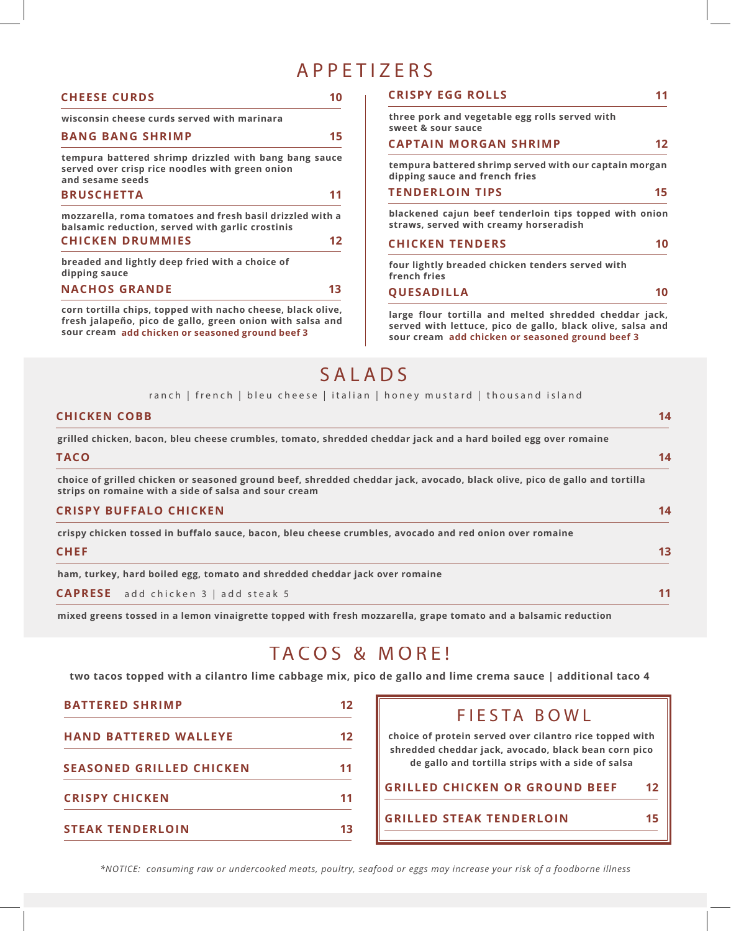## APPETIZERS

| <b>CHEESE CURDS</b>                                                                                                                                                          | 10                | <b>CRISPY EGG ROLLS</b>                                                                                                                                                  | 11 |
|------------------------------------------------------------------------------------------------------------------------------------------------------------------------------|-------------------|--------------------------------------------------------------------------------------------------------------------------------------------------------------------------|----|
| wisconsin cheese curds served with marinara                                                                                                                                  |                   | three pork and vegetable egg rolls served with<br>sweet & sour sauce                                                                                                     |    |
| <b>BANG BANG SHRIMP</b>                                                                                                                                                      | 15                | <b>CAPTAIN MORGAN SHRIMP</b>                                                                                                                                             | 12 |
| tempura battered shrimp drizzled with bang bang sauce<br>served over crisp rice noodles with green onion<br>and sesame seeds                                                 |                   | tempura battered shrimp served with our captain morgan<br>dipping sauce and french fries                                                                                 |    |
| <b>BRUSCHETTA</b>                                                                                                                                                            | 11                | <b>TENDERLOIN TIPS</b>                                                                                                                                                   | 15 |
| mozzarella, roma tomatoes and fresh basil drizzled with a<br>balsamic reduction, served with garlic crostinis                                                                |                   | blackened cajun beef tenderloin tips topped with onion<br>straws, served with creamy horseradish                                                                         |    |
| <b>CHICKEN DRUMMIES</b>                                                                                                                                                      | $12 \ \mathsf{ }$ | <b>CHICKEN TENDERS</b>                                                                                                                                                   | 10 |
| breaded and lightly deep fried with a choice of<br>dipping sauce                                                                                                             |                   | four lightly breaded chicken tenders served with<br>french fries                                                                                                         |    |
| <b>NACHOS GRANDE</b>                                                                                                                                                         | 13                | <b>QUESADILLA</b>                                                                                                                                                        | 10 |
| corn tortilla chips, topped with nacho cheese, black olive,<br>fresh jalapeño, pico de gallo, green onion with salsa and<br>sour cream add chicken or seasoned ground beef 3 |                   | large flour tortilla and melted shredded cheddar jack,<br>served with lettuce, pico de gallo, black olive, salsa and<br>sour cream add chicken or seasoned ground beef 3 |    |

# SALADS

### ranch | french | bleu cheese | italian | honey mustard | thousand island

| <b>CHICKEN COBB</b>                                                                                                                                                                 | 14 |
|-------------------------------------------------------------------------------------------------------------------------------------------------------------------------------------|----|
| grilled chicken, bacon, bleu cheese crumbles, tomato, shredded cheddar jack and a hard boiled egg over romaine                                                                      |    |
| <b>TACO</b>                                                                                                                                                                         | 14 |
| choice of grilled chicken or seasoned ground beef, shredded cheddar jack, avocado, black olive, pico de gallo and tortilla<br>strips on romaine with a side of salsa and sour cream |    |
| <b>CRISPY BUFFALO CHICKEN</b>                                                                                                                                                       | 14 |
| crispy chicken tossed in buffalo sauce, bacon, bleu cheese crumbles, avocado and red onion over romaine                                                                             |    |
| <b>CHEF</b>                                                                                                                                                                         | 13 |
| ham, turkey, hard boiled egg, tomato and shredded cheddar jack over romaine                                                                                                         |    |
| <b>CAPRESE</b> add chicken 3   add steak 5                                                                                                                                          | 11 |
| mixed greens tossed in a lemon vinaigrette topped with fresh mozzarella, grape tomato and a balsamic reduction                                                                      |    |

## TACOS & MORE!

**two tacos topped with a cilantro lime cabbage mix, pico de gallo and lime crema sauce | additional taco 4**

| <b>BATTERED SHRIMP</b>          | 12 |  |
|---------------------------------|----|--|
| <b>HAND BATTERED WALLEYE</b>    | 12 |  |
| <b>SEASONED GRILLED CHICKEN</b> |    |  |
| <b>CRISPY CHICKEN</b>           |    |  |
| <b>STEAK TENDERLOIN</b>         |    |  |

### FIESTA BOWL

**choice of protein served over cilantro rice topped with shredded cheddar jack, avocado, black bean corn pico de gallo and tortilla strips with a side of salsa**

**GRILLED CHICKEN OR GROUND BEEF 12**

### **GRILLED STEAK TENDERLOIN 15**

*\*NOTICE: consuming raw or undercooked meats, poultry, seafood or eggs may increase your risk of a foodborne illness*